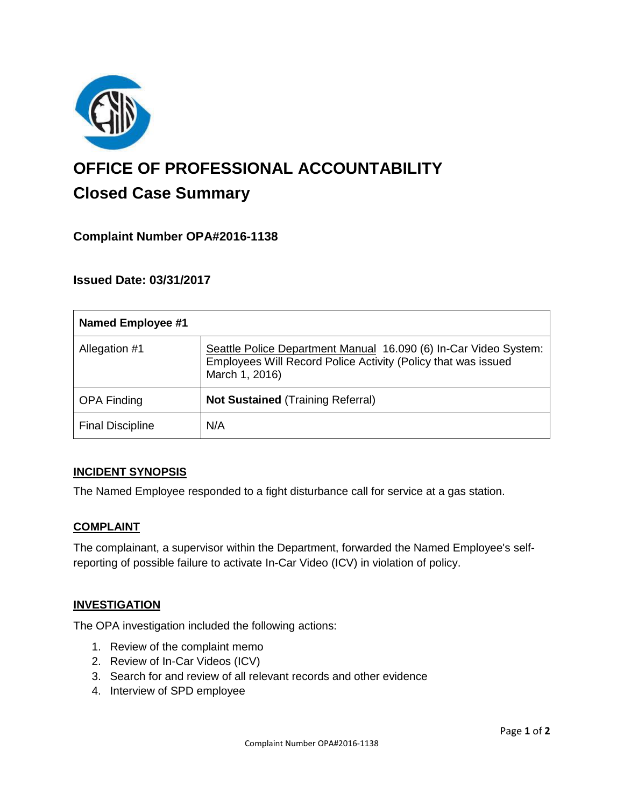

# **OFFICE OF PROFESSIONAL ACCOUNTABILITY Closed Case Summary**

# **Complaint Number OPA#2016-1138**

## **Issued Date: 03/31/2017**

| <b>Named Employee #1</b> |                                                                                                                                                     |
|--------------------------|-----------------------------------------------------------------------------------------------------------------------------------------------------|
| Allegation #1            | Seattle Police Department Manual 16.090 (6) In-Car Video System:<br>Employees Will Record Police Activity (Policy that was issued<br>March 1, 2016) |
| <b>OPA Finding</b>       | <b>Not Sustained (Training Referral)</b>                                                                                                            |
| <b>Final Discipline</b>  | N/A                                                                                                                                                 |

## **INCIDENT SYNOPSIS**

The Named Employee responded to a fight disturbance call for service at a gas station.

#### **COMPLAINT**

The complainant, a supervisor within the Department, forwarded the Named Employee's selfreporting of possible failure to activate In-Car Video (ICV) in violation of policy.

#### **INVESTIGATION**

The OPA investigation included the following actions:

- 1. Review of the complaint memo
- 2. Review of In-Car Videos (ICV)
- 3. Search for and review of all relevant records and other evidence
- 4. Interview of SPD employee